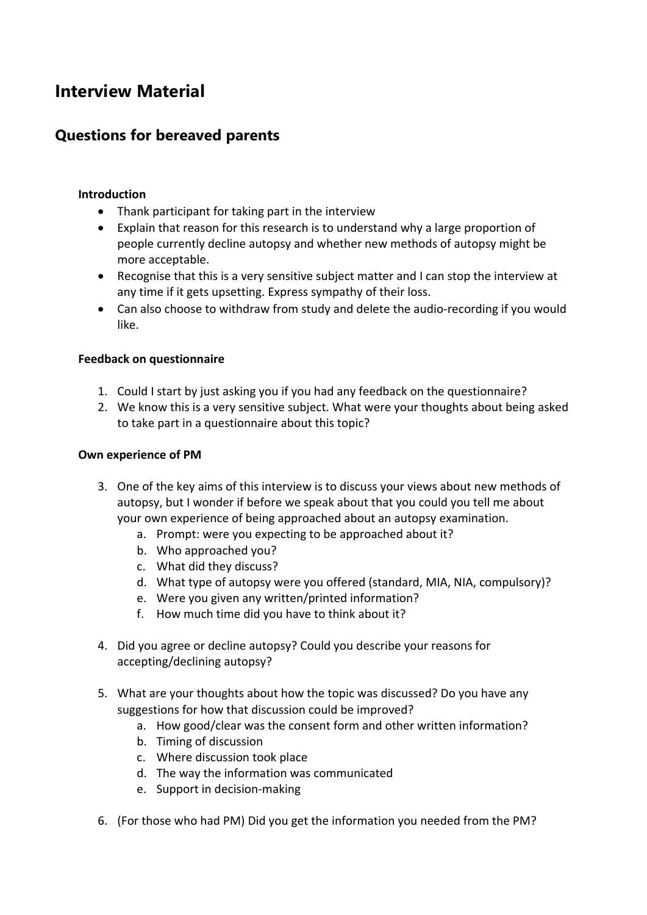# **Interview Material**

# **Questions for bereaved parents**

## **Introduction**

- Thank participant for taking part in the interview
- Explain that reason for this research is to understand why a large proportion of people currently decline autopsy and whether new methods of autopsy might be more acceptable.
- Recognise that this is a very sensitive subject matter and I can stop the interview at any time if it gets upsetting. Express sympathy of their loss.
- Can also choose to withdraw from study and delete the audio-recording if you would like.

## **Feedback on questionnaire**

- 1. Could I start by just asking you if you had any feedback on the questionnaire?
- 2. We know this is a very sensitive subject. What were your thoughts about being asked to take part in a questionnaire about this topic?

## **Own experience of PM**

- 3. One of the key aims of this interview is to discuss your views about new methods of autopsy, but I wonder if before we speak about that you could you tell me about your own experience of being approached about an autopsy examination.
	- a. Prompt: were you expecting to be approached about it?
	- b. Who approached you?
	- c. What did they discuss?
	- d. What type of autopsy were you offered (standard, MIA, NIA, compulsory)?
	- e. Were you given any written/printed information?
	- f. How much time did you have to think about it?
- 4. Did you agree or decline autopsy? Could you describe your reasons for accepting/declining autopsy?
- 5. What are your thoughts about how the topic was discussed? Do you have any suggestions for how that discussion could be improved?
	- a. How good/clear was the consent form and other written information?
	- b. Timing of discussion
	- c. Where discussion took place
	- d. The way the information was communicated
	- e. Support in decision-making
- 6. (For those who had PM) Did you get the information you needed from the PM?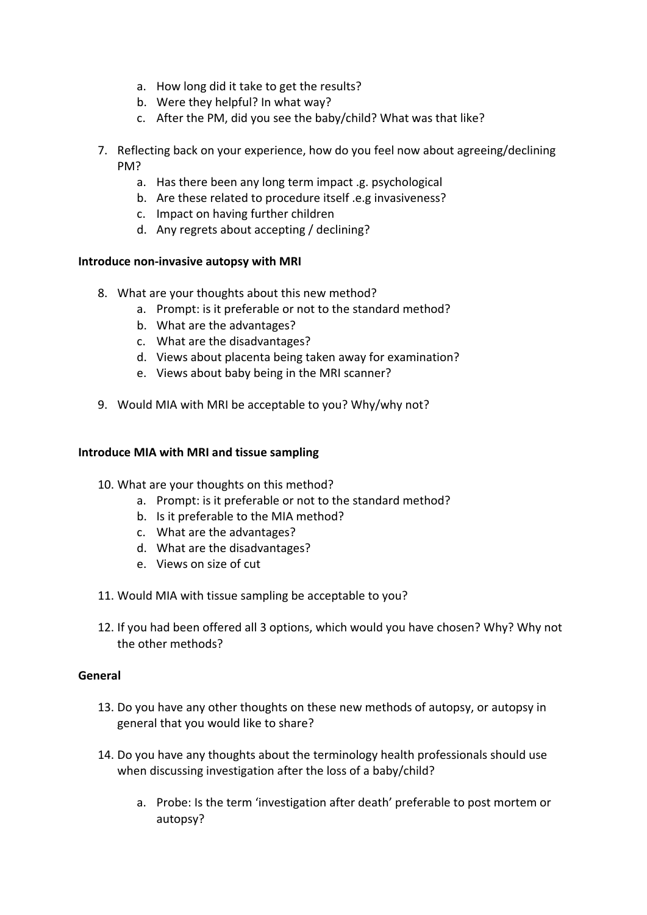- a. How long did it take to get the results?
- b. Were they helpful? In what way?
- c. After the PM, did you see the baby/child? What was that like?
- 7. Reflecting back on your experience, how do you feel now about agreeing/declining PM?
	- a. Has there been any long term impact .g. psychological
	- b. Are these related to procedure itself .e.g invasiveness?
	- c. Impact on having further children
	- d. Any regrets about accepting / declining?

## **Introduce non-invasive autopsy with MRI**

- 8. What are your thoughts about this new method?
	- a. Prompt: is it preferable or not to the standard method?
	- b. What are the advantages?
	- c. What are the disadvantages?
	- d. Views about placenta being taken away for examination?
	- e. Views about baby being in the MRI scanner?
- 9. Would MIA with MRI be acceptable to you? Why/why not?

## **Introduce MIA with MRI and tissue sampling**

- 10. What are your thoughts on this method?
	- a. Prompt: is it preferable or not to the standard method?
	- b. Is it preferable to the MIA method?
	- c. What are the advantages?
	- d. What are the disadvantages?
	- e. Views on size of cut
- 11. Would MIA with tissue sampling be acceptable to you?
- 12. If you had been offered all 3 options, which would you have chosen? Why? Why not the other methods?

### **General**

- 13. Do you have any other thoughts on these new methods of autopsy, or autopsy in general that you would like to share?
- 14. Do you have any thoughts about the terminology health professionals should use when discussing investigation after the loss of a baby/child?
	- a. Probe: Is the term 'investigation after death' preferable to post mortem or autopsy?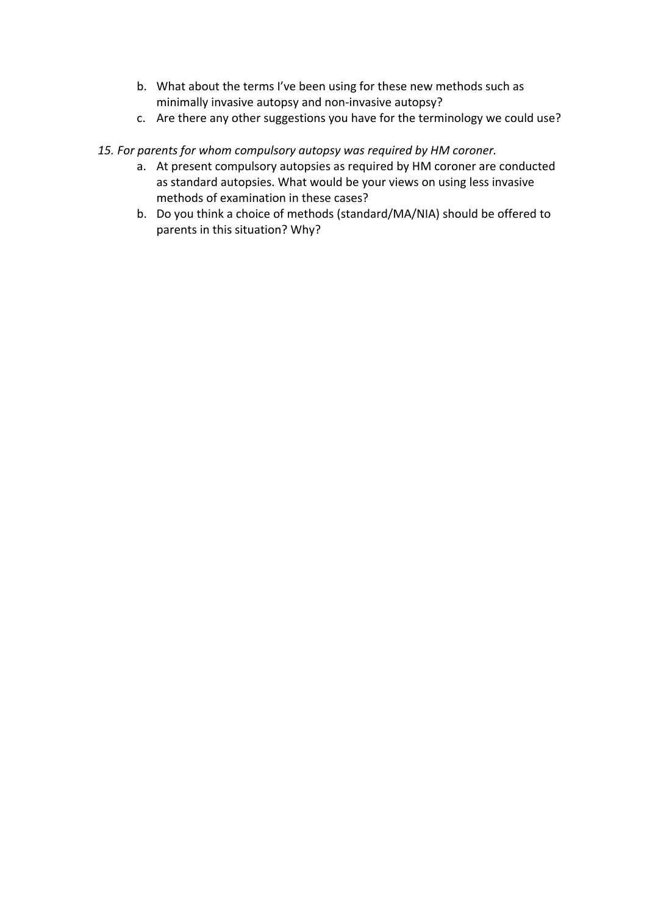- b. What about the terms I've been using for these new methods such as minimally invasive autopsy and non-invasive autopsy?
- c. Are there any other suggestions you have for the terminology we could use?
- *15. For parents for whom compulsory autopsy was required by HM coroner.* 
	- a. At present compulsory autopsies as required by HM coroner are conducted as standard autopsies. What would be your views on using less invasive methods of examination in these cases?
	- b. Do you think a choice of methods (standard/MA/NIA) should be offered to parents in this situation? Why?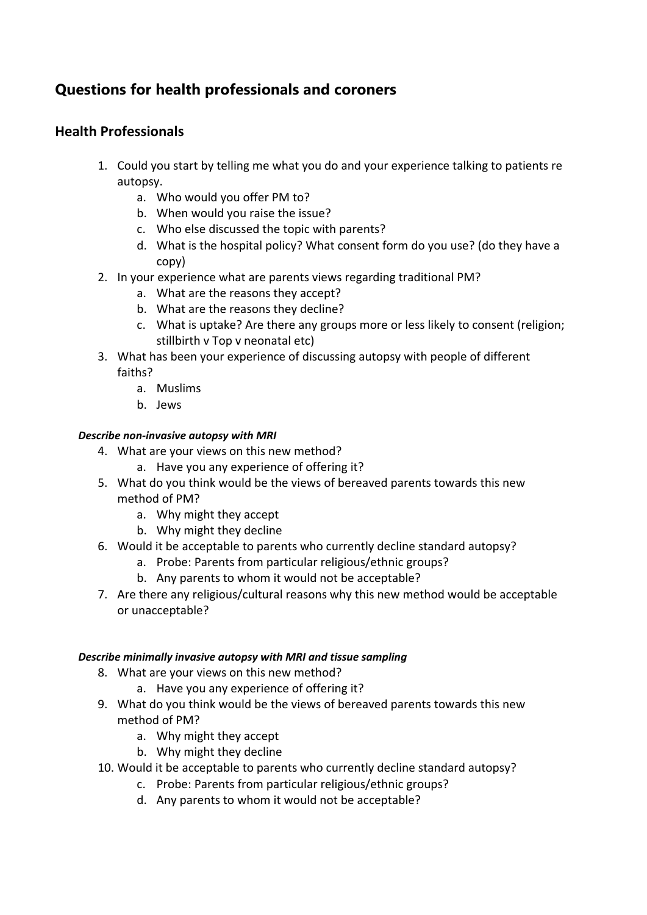# **Questions for health professionals and coroners**

# **Health Professionals**

- 1. Could you start by telling me what you do and your experience talking to patients re autopsy.
	- a. Who would you offer PM to?
	- b. When would you raise the issue?
	- c. Who else discussed the topic with parents?
	- d. What is the hospital policy? What consent form do you use? (do they have a copy)
- 2. In your experience what are parents views regarding traditional PM?
	- a. What are the reasons they accept?
	- b. What are the reasons they decline?
	- c. What is uptake? Are there any groups more or less likely to consent (religion; stillbirth v Top v neonatal etc)
- 3. What has been your experience of discussing autopsy with people of different faiths?
	- a. Muslims
	- b. Jews

## *Describe non-invasive autopsy with MRI*

- 4. What are your views on this new method?
	- a. Have you any experience of offering it?
- 5. What do you think would be the views of bereaved parents towards this new method of PM?
	- a. Why might they accept
	- b. Why might they decline
- 6. Would it be acceptable to parents who currently decline standard autopsy?
	- a. Probe: Parents from particular religious/ethnic groups?
	- b. Any parents to whom it would not be acceptable?
- 7. Are there any religious/cultural reasons why this new method would be acceptable or unacceptable?

### *Describe minimally invasive autopsy with MRI and tissue sampling*

- 8. What are your views on this new method?
	- a. Have you any experience of offering it?
- 9. What do you think would be the views of bereaved parents towards this new method of PM?
	- a. Why might they accept
	- b. Why might they decline
- 10. Would it be acceptable to parents who currently decline standard autopsy?
	- c. Probe: Parents from particular religious/ethnic groups?
	- d. Any parents to whom it would not be acceptable?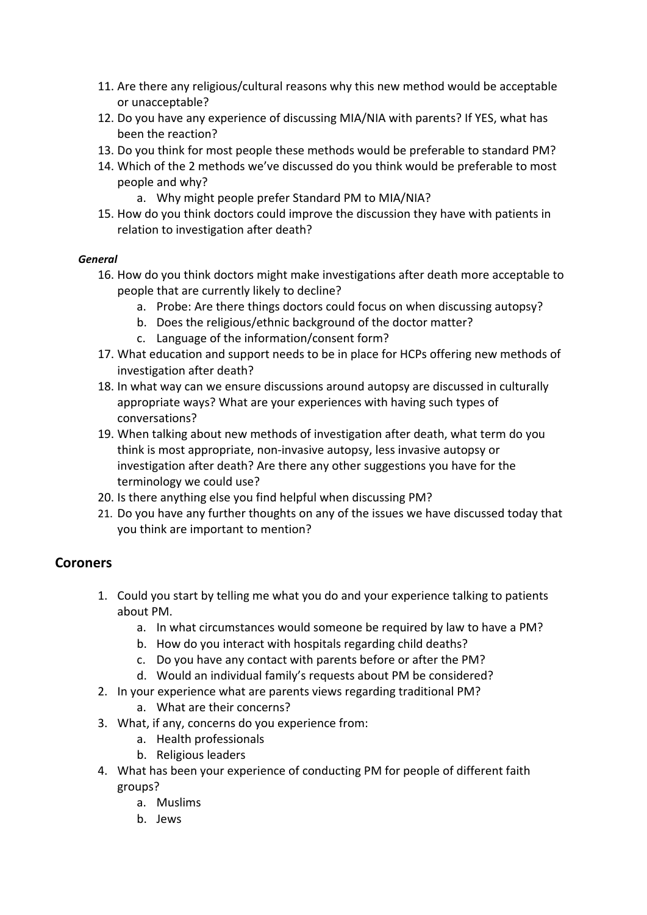- 11. Are there any religious/cultural reasons why this new method would be acceptable or unacceptable?
- 12. Do you have any experience of discussing MIA/NIA with parents? If YES, what has been the reaction?
- 13. Do you think for most people these methods would be preferable to standard PM?
- 14. Which of the 2 methods we've discussed do you think would be preferable to most people and why?
	- a. Why might people prefer Standard PM to MIA/NIA?
- 15. How do you think doctors could improve the discussion they have with patients in relation to investigation after death?

### *General*

- 16. How do you think doctors might make investigations after death more acceptable to people that are currently likely to decline?
	- a. Probe: Are there things doctors could focus on when discussing autopsy?
	- b. Does the religious/ethnic background of the doctor matter?
	- c. Language of the information/consent form?
- 17. What education and support needs to be in place for HCPs offering new methods of investigation after death?
- 18. In what way can we ensure discussions around autopsy are discussed in culturally appropriate ways? What are your experiences with having such types of conversations?
- 19. When talking about new methods of investigation after death, what term do you think is most appropriate, non-invasive autopsy, less invasive autopsy or investigation after death? Are there any other suggestions you have for the terminology we could use?
- 20. Is there anything else you find helpful when discussing PM?
- 21. Do you have any further thoughts on any of the issues we have discussed today that you think are important to mention?

# **Coroners**

- 1. Could you start by telling me what you do and your experience talking to patients about PM.
	- a. In what circumstances would someone be required by law to have a PM?
	- b. How do you interact with hospitals regarding child deaths?
	- c. Do you have any contact with parents before or after the PM?
	- d. Would an individual family's requests about PM be considered?
- 2. In your experience what are parents views regarding traditional PM?
	- a. What are their concerns?
- 3. What, if any, concerns do you experience from:
	- a. Health professionals
	- b. Religious leaders
- 4. What has been your experience of conducting PM for people of different faith groups?
	- a. Muslims
	- b. Jews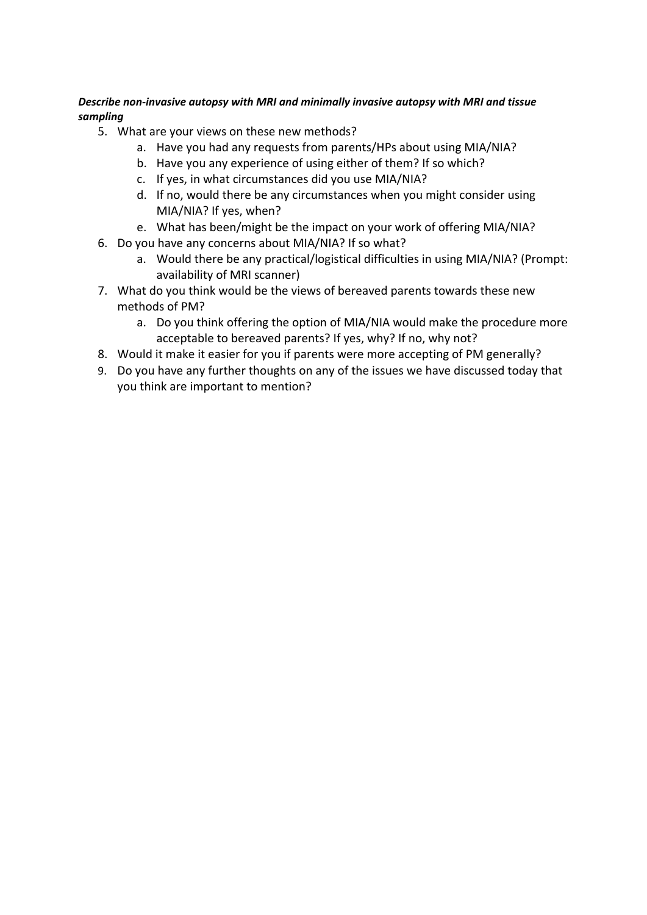## *Describe non-invasive autopsy with MRI and minimally invasive autopsy with MRI and tissue sampling*

- 5. What are your views on these new methods?
	- a. Have you had any requests from parents/HPs about using MIA/NIA?
	- b. Have you any experience of using either of them? If so which?
	- c. If yes, in what circumstances did you use MIA/NIA?
	- d. If no, would there be any circumstances when you might consider using MIA/NIA? If yes, when?
	- e. What has been/might be the impact on your work of offering MIA/NIA?
- 6. Do you have any concerns about MIA/NIA? If so what?
	- a. Would there be any practical/logistical difficulties in using MIA/NIA? (Prompt: availability of MRI scanner)
- 7. What do you think would be the views of bereaved parents towards these new methods of PM?
	- a. Do you think offering the option of MIA/NIA would make the procedure more acceptable to bereaved parents? If yes, why? If no, why not?
- 8. Would it make it easier for you if parents were more accepting of PM generally?
- 9. Do you have any further thoughts on any of the issues we have discussed today that you think are important to mention?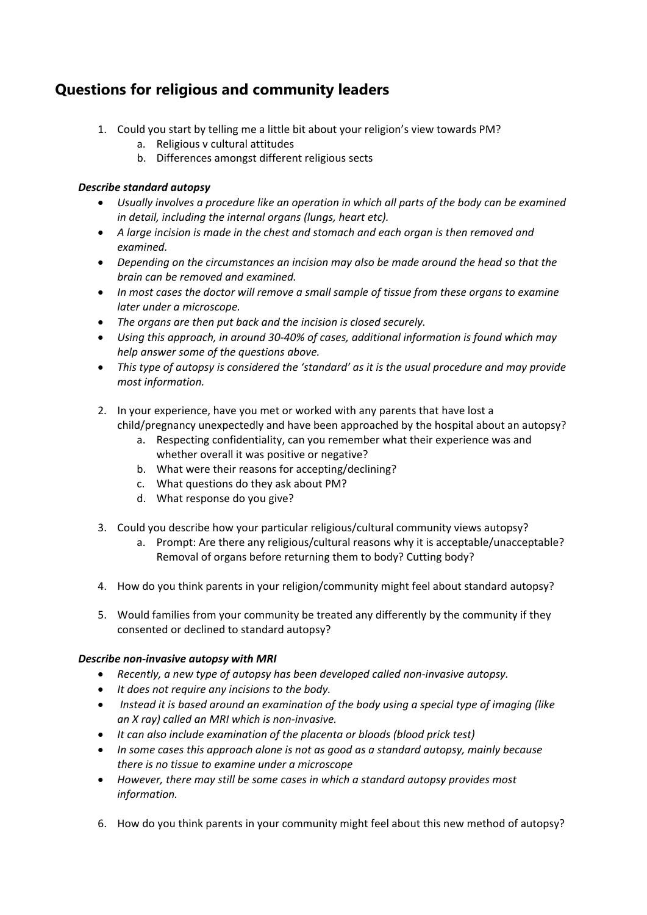# **Questions for religious and community leaders**

- 1. Could you start by telling me a little bit about your religion's view towards PM?
	- a. Religious v cultural attitudes
	- b. Differences amongst different religious sects

## *Describe standard autopsy*

- *Usually involves a procedure like an operation in which all parts of the body can be examined in detail, including the internal organs (lungs, heart etc).*
- *A large incision is made in the chest and stomach and each organ is then removed and examined.*
- *Depending on the circumstances an incision may also be made around the head so that the brain can be removed and examined.*
- *In most cases the doctor will remove a small sample of tissue from these organs to examine later under a microscope.*
- *The organs are then put back and the incision is closed securely.*
- *Using this approach, in around 30-40% of cases, additional information is found which may help answer some of the questions above.*
- *This type of autopsy is considered the 'standard' as it is the usual procedure and may provide most information.*
- 2. In your experience, have you met or worked with any parents that have lost a child/pregnancy unexpectedly and have been approached by the hospital about an autopsy?
	- a. Respecting confidentiality, can you remember what their experience was and whether overall it was positive or negative?
	- b. What were their reasons for accepting/declining?
	- c. What questions do they ask about PM?
	- d. What response do you give?
- 3. Could you describe how your particular religious/cultural community views autopsy?
	- a. Prompt: Are there any religious/cultural reasons why it is acceptable/unacceptable? Removal of organs before returning them to body? Cutting body?
- 4. How do you think parents in your religion/community might feel about standard autopsy?
- 5. Would families from your community be treated any differently by the community if they consented or declined to standard autopsy?

### *Describe non-invasive autopsy with MRI*

- *Recently, a new type of autopsy has been developed called non-invasive autopsy.*
- *It does not require any incisions to the body.*
- *Instead it is based around an examination of the body using a special type of imaging (like an X ray) called an MRI which is non-invasive.*
- *It can also include examination of the placenta or bloods (blood prick test)*
- *In some cases this approach alone is not as good as a standard autopsy, mainly because there is no tissue to examine under a microscope*
- *However, there may still be some cases in which a standard autopsy provides most information.*
- 6. How do you think parents in your community might feel about this new method of autopsy?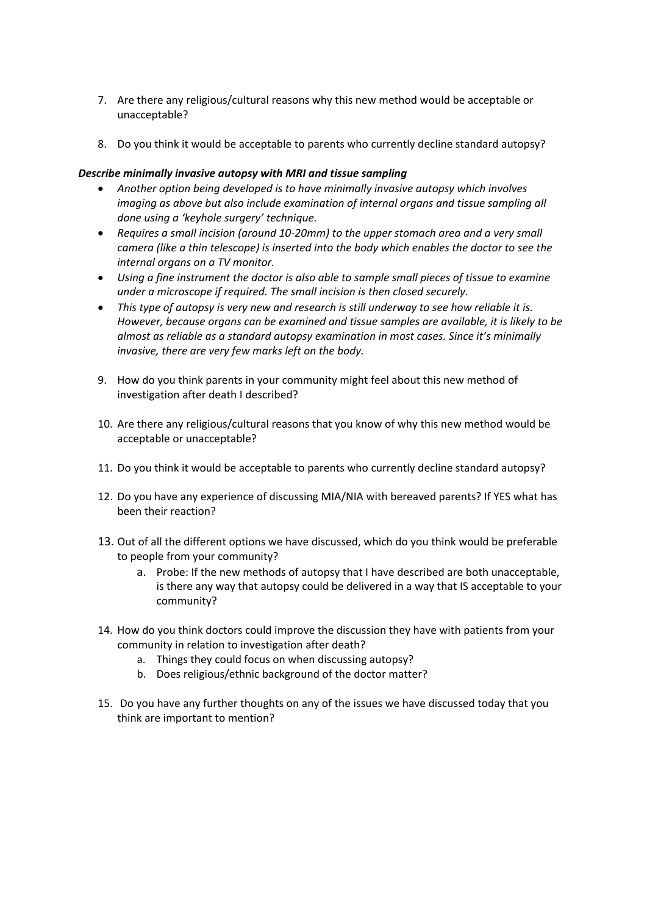- 7. Are there any religious/cultural reasons why this new method would be acceptable or unacceptable?
- 8. Do you think it would be acceptable to parents who currently decline standard autopsy?

#### *Describe minimally invasive autopsy with MRI and tissue sampling*

- *Another option being developed is to have minimally invasive autopsy which involves imaging as above but also include examination of internal organs and tissue sampling all done using a 'keyhole surgery' technique.*
- *Requires a small incision (around 10-20mm) to the upper stomach area and a very small camera (like a thin telescope) is inserted into the body which enables the doctor to see the internal organs on a TV monitor.*
- *Using a fine instrument the doctor is also able to sample small pieces of tissue to examine under a microscope if required. The small incision is then closed securely.*
- *This type of autopsy is very new and research is still underway to see how reliable it is. However, because organs can be examined and tissue samples are available, it is likely to be almost as reliable as a standard autopsy examination in most cases. Since it's minimally invasive, there are very few marks left on the body.*
- 9. How do you think parents in your community might feel about this new method of investigation after death I described?
- 10. Are there any religious/cultural reasons that you know of why this new method would be acceptable or unacceptable?
- 11. Do you think it would be acceptable to parents who currently decline standard autopsy?
- 12. Do you have any experience of discussing MIA/NIA with bereaved parents? If YES what has been their reaction?
- 13. Out of all the different options we have discussed, which do you think would be preferable to people from your community?
	- a. Probe: If the new methods of autopsy that I have described are both unacceptable, is there any way that autopsy could be delivered in a way that IS acceptable to your community?
- 14. How do you think doctors could improve the discussion they have with patients from your community in relation to investigation after death?
	- a. Things they could focus on when discussing autopsy?
	- b. Does religious/ethnic background of the doctor matter?
- 15. Do you have any further thoughts on any of the issues we have discussed today that you think are important to mention?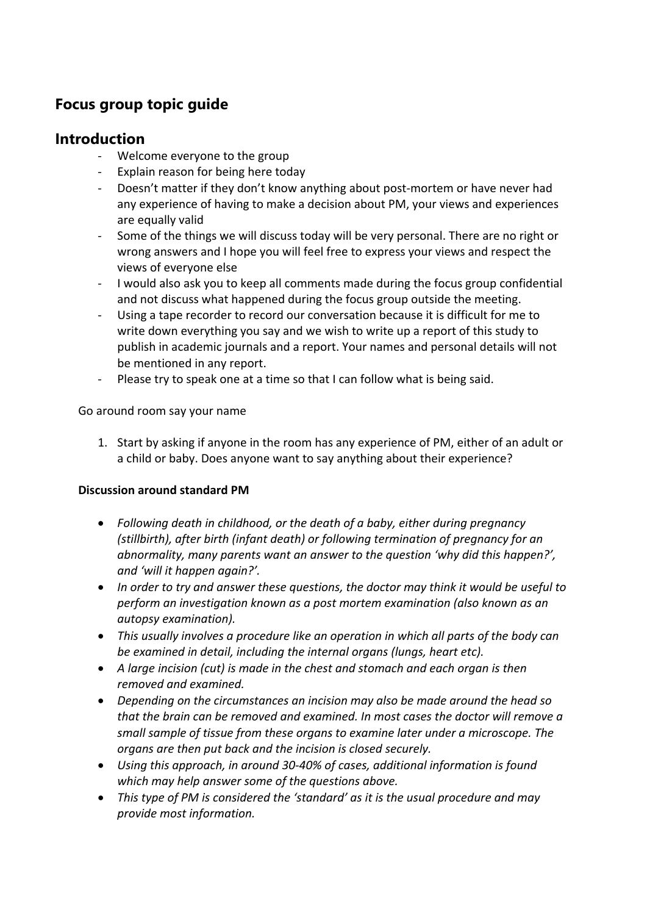# **Focus group topic guide**

# **Introduction**

- Welcome everyone to the group
- Explain reason for being here today
- Doesn't matter if they don't know anything about post-mortem or have never had any experience of having to make a decision about PM, your views and experiences are equally valid
- Some of the things we will discuss today will be very personal. There are no right or wrong answers and I hope you will feel free to express your views and respect the views of everyone else
- I would also ask you to keep all comments made during the focus group confidential and not discuss what happened during the focus group outside the meeting.
- Using a tape recorder to record our conversation because it is difficult for me to write down everything you say and we wish to write up a report of this study to publish in academic journals and a report. Your names and personal details will not be mentioned in any report.
- Please try to speak one at a time so that I can follow what is being said.

Go around room say your name

1. Start by asking if anyone in the room has any experience of PM, either of an adult or a child or baby. Does anyone want to say anything about their experience?

## **Discussion around standard PM**

- *Following death in childhood, or the death of a baby, either during pregnancy (stillbirth), after birth (infant death) or following termination of pregnancy for an abnormality, many parents want an answer to the question 'why did this happen?', and 'will it happen again?'.*
- *In order to try and answer these questions, the doctor may think it would be useful to perform an investigation known as a post mortem examination (also known as an autopsy examination).*
- *This usually involves a procedure like an operation in which all parts of the body can be examined in detail, including the internal organs (lungs, heart etc).*
- *A large incision (cut) is made in the chest and stomach and each organ is then removed and examined.*
- *Depending on the circumstances an incision may also be made around the head so that the brain can be removed and examined. In most cases the doctor will remove a small sample of tissue from these organs to examine later under a microscope. The organs are then put back and the incision is closed securely.*
- *Using this approach, in around 30-40% of cases, additional information is found which may help answer some of the questions above.*
- *This type of PM is considered the 'standard' as it is the usual procedure and may provide most information.*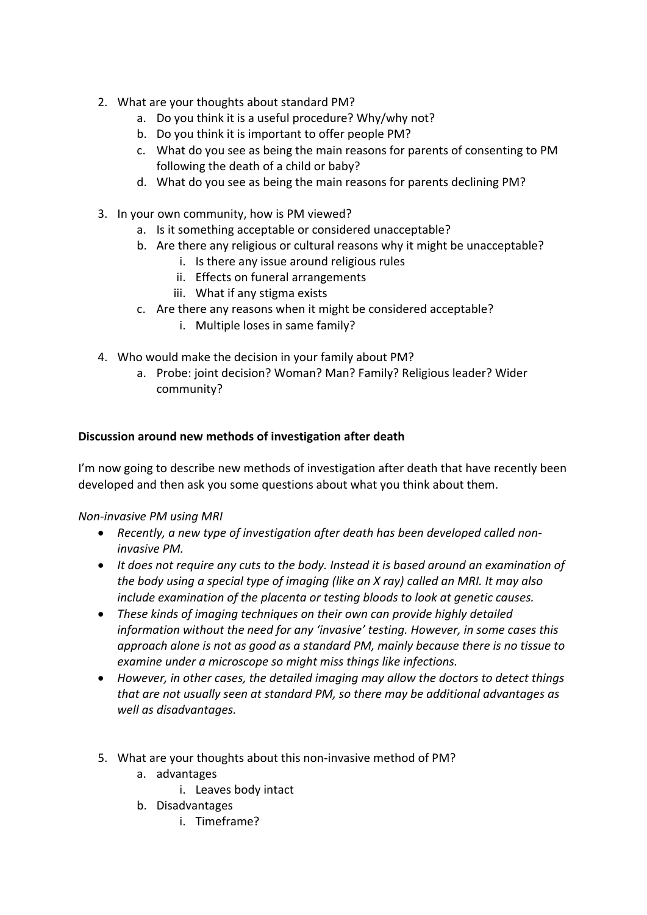- 2. What are your thoughts about standard PM?
	- a. Do you think it is a useful procedure? Why/why not?
	- b. Do you think it is important to offer people PM?
	- c. What do you see as being the main reasons for parents of consenting to PM following the death of a child or baby?
	- d. What do you see as being the main reasons for parents declining PM?
- 3. In your own community, how is PM viewed?
	- a. Is it something acceptable or considered unacceptable?
	- b. Are there any religious or cultural reasons why it might be unacceptable?
		- i. Is there any issue around religious rules
			- ii. Effects on funeral arrangements
		- iii. What if any stigma exists
	- c. Are there any reasons when it might be considered acceptable?
		- i. Multiple loses in same family?
- 4. Who would make the decision in your family about PM?
	- a. Probe: joint decision? Woman? Man? Family? Religious leader? Wider community?

## **Discussion around new methods of investigation after death**

I'm now going to describe new methods of investigation after death that have recently been developed and then ask you some questions about what you think about them.

### *Non-invasive PM using MRI*

- *Recently, a new type of investigation after death has been developed called noninvasive PM.*
- *It does not require any cuts to the body. Instead it is based around an examination of the body using a special type of imaging (like an X ray) called an MRI. It may also include examination of the placenta or testing bloods to look at genetic causes.*
- *These kinds of imaging techniques on their own can provide highly detailed information without the need for any 'invasive' testing. However, in some cases this approach alone is not as good as a standard PM, mainly because there is no tissue to examine under a microscope so might miss things like infections.*
- *However, in other cases, the detailed imaging may allow the doctors to detect things that are not usually seen at standard PM, so there may be additional advantages as well as disadvantages.*
- 5. What are your thoughts about this non-invasive method of PM?
	- a. advantages
		- i. Leaves body intact
	- b. Disadvantages
		- i. Timeframe?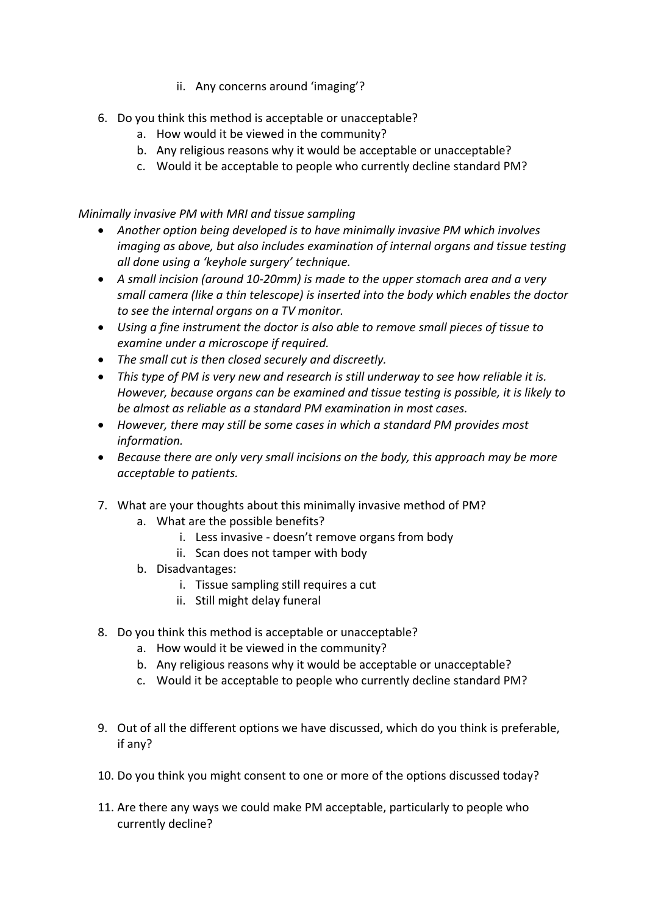- ii. Any concerns around 'imaging'?
- 6. Do you think this method is acceptable or unacceptable?
	- a. How would it be viewed in the community?
	- b. Any religious reasons why it would be acceptable or unacceptable?
	- c. Would it be acceptable to people who currently decline standard PM?

*Minimally invasive PM with MRI and tissue sampling*

- *Another option being developed is to have minimally invasive PM which involves imaging as above, but also includes examination of internal organs and tissue testing all done using a 'keyhole surgery' technique.*
- *A small incision (around 10-20mm) is made to the upper stomach area and a very small camera (like a thin telescope) is inserted into the body which enables the doctor to see the internal organs on a TV monitor.*
- *Using a fine instrument the doctor is also able to remove small pieces of tissue to examine under a microscope if required.*
- *The small cut is then closed securely and discreetly.*
- *This type of PM is very new and research is still underway to see how reliable it is. However, because organs can be examined and tissue testing is possible, it is likely to be almost as reliable as a standard PM examination in most cases.*
- *However, there may still be some cases in which a standard PM provides most information.*
- *Because there are only very small incisions on the body, this approach may be more acceptable to patients.*
- 7. What are your thoughts about this minimally invasive method of PM?
	- a. What are the possible benefits?
		- i. Less invasive doesn't remove organs from body
		- ii. Scan does not tamper with body
	- b. Disadvantages:
		- i. Tissue sampling still requires a cut
		- ii. Still might delay funeral
- 8. Do you think this method is acceptable or unacceptable?
	- a. How would it be viewed in the community?
	- b. Any religious reasons why it would be acceptable or unacceptable?
	- c. Would it be acceptable to people who currently decline standard PM?
- 9. Out of all the different options we have discussed, which do you think is preferable, if any?
- 10. Do you think you might consent to one or more of the options discussed today?
- 11. Are there any ways we could make PM acceptable, particularly to people who currently decline?